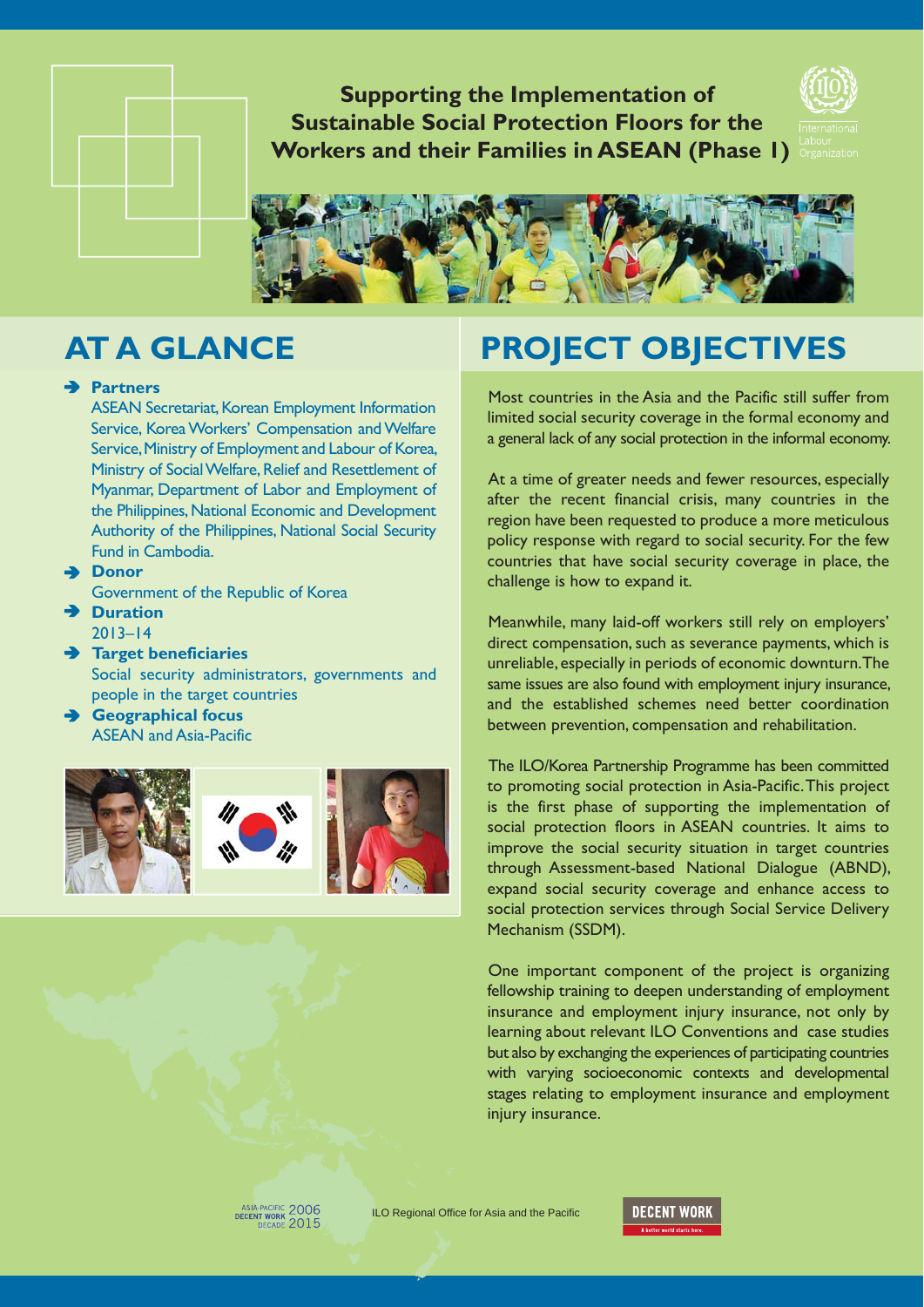**Supporting the Implementation of Sustainable Social Protection Floors for the Workers and their Families in ASEAN (Phase 1)**





### **Partners**

ASEAN Secretariat, Korean Employment Information Service, Korea Workers' Compensation and Welfare Service, Ministry of Employment and Labour of Korea, Ministry of Social Welfare, Relief and Resettlement of Myanmar, Department of Labor and Employment of the Philippines, National Economic and Development Authority of the Philippines, National Social Security Fund in Cambodia.

**Donor**

Government of the Republic of Korea

- **Duration** 2013–14
- **Target beneficiaries** Social security administrators, governments and people in the target countries
- **Geographical focus** ASEAN and Asia-Pacific



# **AT A GLANCE PROJECT OBJECTIVES**

Most countries in the Asia and the Pacific still suffer from limited social security coverage in the formal economy and a general lack of any social protection in the informal economy.

At a time of greater needs and fewer resources, especially after the recent financial crisis, many countries in the region have been requested to produce a more meticulous policy response with regard to social security. For the few countries that have social security coverage in place, the challenge is how to expand it.

Meanwhile, many laid-off workers still rely on employers' direct compensation, such as severance payments, which is unreliable, especially in periods of economic downturn. The same issues are also found with employment injury insurance, and the established schemes need better coordination between prevention, compensation and rehabilitation.

The ILO/Korea Partnership Programme has been committed to promoting social protection in Asia-Pacific. This project is the first phase of supporting the implementation of social protection floors in ASEAN countries. It aims to improve the social security situation in target countries through Assessment-based National Dialogue (ABND), expand social security coverage and enhance access to social protection services through Social Service Delivery Mechanism (SSDM).

One important component of the project is organizing fellowship training to deepen understanding of employment insurance and employment injury insurance, not only by learning about relevant ILO Conventions and case studies but also by exchanging the experiences of participating countries with varying socioeconomic contexts and developmental stages relating to employment insurance and employment injury insurance.